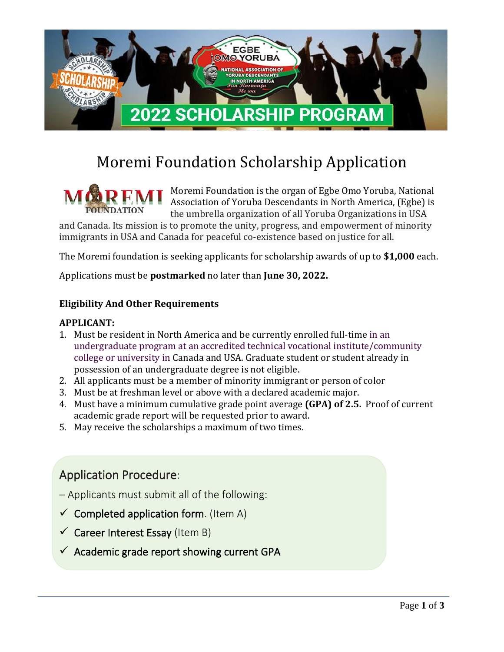

# Moremi Foundation Scholarship Application

Moremi Foundation is the organ of Egbe Omo Yoruba, National Association of Yoruba Descendants in North America, (Egbe) is the umbrella organization of all Yoruba Organizations in USA and Canada. Its mission is to promote the unity, progress, and empowerment of minority

immigrants in USA and Canada for peaceful co-existence based on justice for all.

The Moremi foundation is seeking applicants for scholarship awards of up to **\$1,000** each.

Applications must be **postmarked** no later than **June 30, 2022.**

#### **Eligibility And Other Requirements**

#### **APPLICANT:**

- 1. Must be resident in North America and be currently enrolled full-time in an undergraduate program at an accredited technical vocational institute/community college or university in Canada and USA. Graduate student or student already in possession of an undergraduate degree is not eligible.
- 2. All applicants must be a member of minority immigrant or person of color
- 3. Must be at freshman level or above with a declared academic major.
- 4. Must have a minimum cumulative grade point average **(GPA) of 2.5.** Proof of current academic grade report will be requested prior to award.
- 5. May receive the scholarships a maximum of two times.

### Application Procedure:

- Applicants must submit all of the following:
- $\checkmark$  Completed application form. (Item A)
- $\checkmark$  Career Interest Essay (Item B)
- $\checkmark$  Academic grade report showing current GPA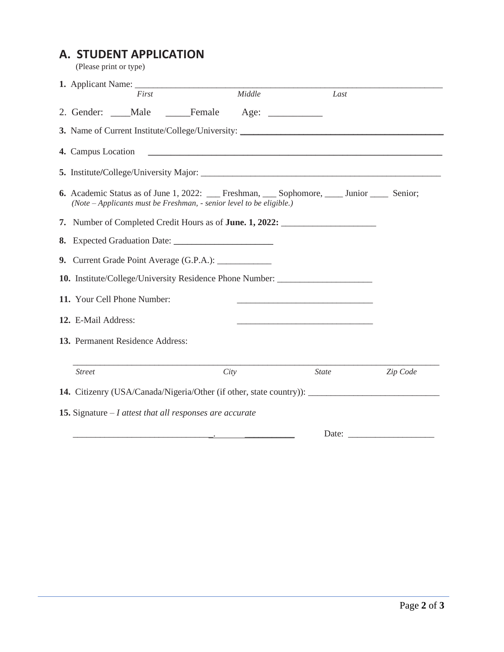## **A. STUDENT APPLICATION**

(Please print or type)

| First                                                                                                                                                     | Middle |                                                                                                                       | Last     |
|-----------------------------------------------------------------------------------------------------------------------------------------------------------|--------|-----------------------------------------------------------------------------------------------------------------------|----------|
| 2. Gender: Male Female                                                                                                                                    |        |                                                                                                                       |          |
| <b>3.</b> Name of Current Institute/College/University:                                                                                                   |        |                                                                                                                       |          |
| 4. Campus Location                                                                                                                                        |        |                                                                                                                       |          |
|                                                                                                                                                           |        |                                                                                                                       |          |
| <b>6.</b> Academic Status as of June 1, 2022: Freshman, Sophomore, Junior Senior;<br>(Note - Applicants must be Freshman, - senior level to be eligible.) |        |                                                                                                                       |          |
| 7. Number of Completed Credit Hours as of <b>June. 1, 2022:</b>                                                                                           |        |                                                                                                                       |          |
|                                                                                                                                                           |        |                                                                                                                       |          |
| 9. Current Grade Point Average (G.P.A.): ____________                                                                                                     |        |                                                                                                                       |          |
| 10. Institute/College/University Residence Phone Number:                                                                                                  |        |                                                                                                                       |          |
| 11. Your Cell Phone Number:                                                                                                                               |        |                                                                                                                       |          |
| 12. E-Mail Address:                                                                                                                                       |        | <u> 1989 - Johann Barbara, martin amerikan basar dan berasal dalam berasal dalam basar dalam basar dalam basar da</u> |          |
| 13. Permanent Residence Address:                                                                                                                          |        |                                                                                                                       |          |
| <b>Street</b>                                                                                                                                             | City   | <b>State</b>                                                                                                          | Zip Code |
| 14. Citizenry (USA/Canada/Nigeria/Other (if other, state country)): ________________________________                                                      |        |                                                                                                                       |          |
| <b>15.</b> Signature $-I$ attest that all responses are accurate                                                                                          |        |                                                                                                                       |          |
|                                                                                                                                                           |        | Date:                                                                                                                 |          |